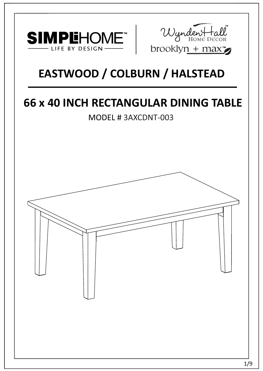



# **EASTWOOD / COLBURN / HALSTEAD**

# **66 x 40 INCH RECTANGULAR DINING TABLE**

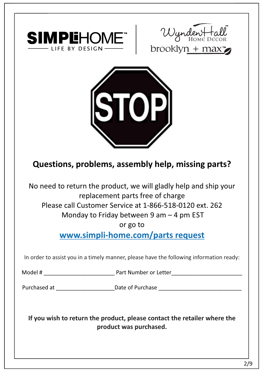





## **Questions, problems, assembly help, missing parts?**

No need to return the product, we will gladly help and ship your replacement parts free of charge Please call Customer Service at 1-866-518-0120 ext. 262 Monday to Friday between 9 am – 4 pm EST

or go to

**www.simpli-home.com/parts request** 

In order to assist you in a timely manner, please have the following information ready:

Model # \_\_\_\_\_\_\_\_\_\_\_\_\_\_\_\_\_\_\_\_\_\_\_ Part Number or Letter\_\_\_\_\_\_\_\_\_\_\_\_\_\_\_\_\_\_\_\_\_\_\_

Purchased at \_\_\_\_\_\_\_\_\_\_\_\_\_\_\_\_\_\_\_\_\_\_\_\_\_\_\_\_\_Date of Purchase \_\_\_\_\_\_\_\_\_\_\_\_\_\_\_\_\_\_\_\_\_\_

**If you wish to return the product, please contact the retailer where the product was purchased.**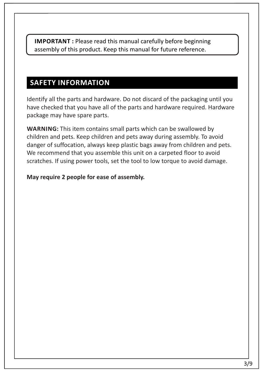**IMPORTANT :** Please read this manual carefully before beginning assembly of this product. Keep this manual for future reference.

#### **SAFETY INFORMATION**

Identify all the parts and hardware. Do not discard of the packaging until you have checked that you have all of the parts and hardware required. Hardware package may have spare parts.

WARNING: This item contains small parts which can be swallowed by children and pets. Keep children and pets away during assembly. To avoid danger of suffocation, always keep plastic bags away from children and pets. We recommend that you assemble this unit on a carpeted floor to avoid scratches. If using power tools, set the tool to low torque to avoid damage.

#### **May require 2 people for ease of assembly.**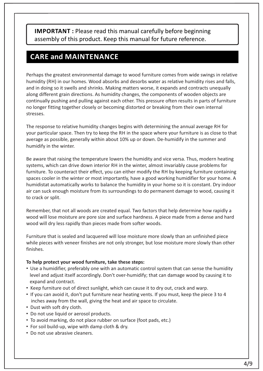**IMPORTANT :** Please read this manual carefully before beginning assembly of this product. Keep this manual for future reference.

#### **CARE and MAINTENANCE**

Perhaps the greatest environmental damage to wood furniture comes from wide swings in relative humidity (RH) in our homes. Wood absorbs and desorbs water as relative humidity rises and falls, and in doing so it swells and shrinks. Making matters worse, it expands and contracts unequally along different grain directions. As humidity changes, the components of wooden objects are continually pushing and pulling against each other. This pressure often results in parts of furniture no longer fitting together closely or becoming distorted or breaking from their own internal stresses.

The response to relative humidity changes begins with determining the annual average RH for your particular space. Then try to keep the RH in the space where your furniture is as close to that average as possible, generally within about 10% up or down. De-humidify in the summer and humidify in the winter.

Be aware that raising the temperature lowers the humidity and vice versa. Thus, modern heating systems, which can drive down interior RH in the winter, almost invariably cause problems for furniture. To counteract their effect, you can either modify the RH by keeping furniture containing spaces cooler in the winter or most importantly, have a good working humidifier for your home. A humidistat automatically works to balance the humidity in your home so it is constant. Dry indoor air can suck enough moisture from its surroundings to do permanent damage to wood, causing it to crack or split.

Remember, that not all woods are created equal. Two factors that help determine how rapidly a wood will lose moisture are pore size and surface hardness. A piece made from a dense and hard wood will dry less rapidly than pieces made from softer woods.

Furniture that is sealed and lacquered will lose moisture more slowly than an unfinished piece while pieces with veneer finishes are not only stronger, but lose moisture more slowly than other finishes.

#### **To help protect your wood furniture, take these steps:**

- Use a humidifier, preferably one with an automatic control system that can sense the humidity level and adjust itself accordingly. Don't over-humidify; that can damage wood by causing it to expand and contract.
- Keep furniture out of direct sunlight, which can cause it to dry out, crack and warp.
- If you can avoid it, don't put furniture near heating vents. If you must, keep the piece 3 to 4 inches away from the wall, giving the heat and air space to circulate.
- Dust with soft dry cloth.
- Do not use liquid or aerosol products.
- To avoid marking, do not place rubber on surface (foot pads, etc.)
- For soil build-up, wipe with damp cloth & dry.
- Do not use abrasive cleaners.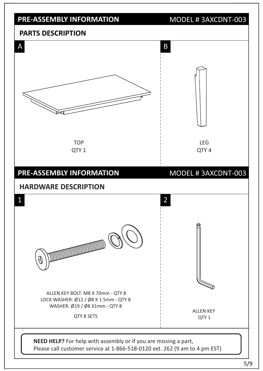

5/9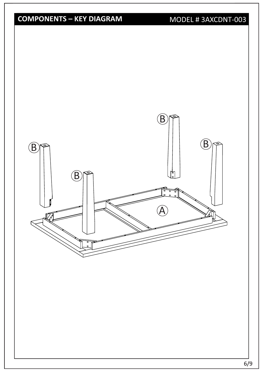## **COMPONENTS – KEY DIAGRAM**

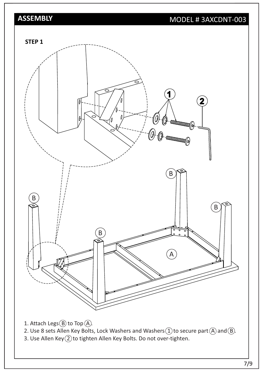### **ASSEMBLY**

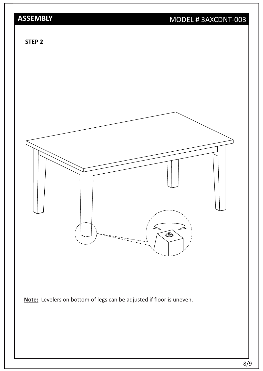## **ASSEMBLY**